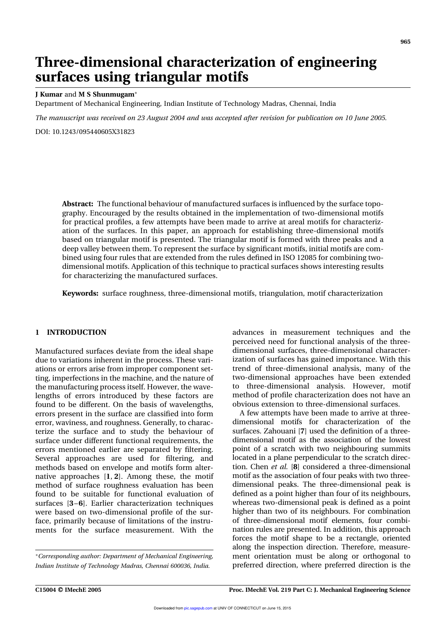# Three-dimensional characterization of engineering surfaces using triangular motifs

## J Kumar and M S Shunmugam

Department of Mechanical Engineering, Indian Institute of Technology Madras, Chennai, India

The manuscript was received on 23 August 2004 and was accepted after revision for publication on 10 June 2005.

DOI: 10.1243/095440605X31823

Abstract: The functional behaviour of manufactured surfaces is influenced by the surface topography. Encouraged by the results obtained in the implementation of two-dimensional motifs for practical profiles, a few attempts have been made to arrive at areal motifs for characterization of the surfaces. In this paper, an approach for establishing three-dimensional motifs based on triangular motif is presented. The triangular motif is formed with three peaks and a deep valley between them. To represent the surface by significant motifs, initial motifs are combined using four rules that are extended from the rules defined in ISO 12085 for combining twodimensional motifs. Application of this technique to practical surfaces shows interesting results for characterizing the manufactured surfaces.

Keywords: surface roughness, three-dimensional motifs, triangulation, motif characterization

# 1 INTRODUCTION

Manufactured surfaces deviate from the ideal shape due to variations inherent in the process. These variations or errors arise from improper component setting, imperfections in the machine, and the nature of the manufacturing process itself. However, the wavelengths of errors introduced by these factors are found to be different. On the basis of wavelengths, errors present in the surface are classified into form error, waviness, and roughness. Generally, to characterize the surface and to study the behaviour of surface under different functional requirements, the errors mentioned earlier are separated by filtering. Several approaches are used for filtering, and methods based on envelope and motifs form alternative approaches [1, 2]. Among these, the motif method of surface roughness evaluation has been found to be suitable for functional evaluation of surfaces [3–6]. Earlier characterization techniques were based on two-dimensional profile of the surface, primarily because of limitations of the instruments for the surface measurement. With the

advances in measurement techniques and the perceived need for functional analysis of the threedimensional surfaces, three-dimensional characterization of surfaces has gained importance. With this trend of three-dimensional analysis, many of the two-dimensional approaches have been extended to three-dimensional analysis. However, motif method of profile characterization does not have an obvious extension to three-dimensional surfaces.

A few attempts have been made to arrive at threedimensional motifs for characterization of the surfaces. Zahouani [7] used the definition of a threedimensional motif as the association of the lowest point of a scratch with two neighbouring summits located in a plane perpendicular to the scratch direction. Chen et al. [8] considered a three-dimensional motif as the association of four peaks with two threedimensional peaks. The three-dimensional peak is defined as a point higher than four of its neighbours, whereas two-dimensional peak is defined as a point higher than two of its neighbours. For combination of three-dimensional motif elements, four combination rules are presented. In addition, this approach forces the motif shape to be a rectangle, oriented along the inspection direction. Therefore, measurement orientation must be along or orthogonal to preferred direction, where preferred direction is the

Corresponding author: Department of Mechanical Engineering, Indian Institute of Technology Madras, Chennai 600036, India.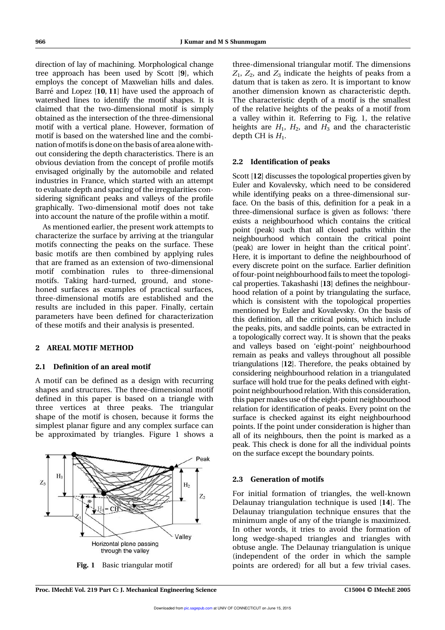direction of lay of machining. Morphological change tree approach has been used by Scott [9], which employs the concept of Maxwelian hills and dales. Barré and Lopez  $[10, 11]$  have used the approach of watershed lines to identify the motif shapes. It is claimed that the two-dimensional motif is simply obtained as the intersection of the three-dimensional motif with a vertical plane. However, formation of motif is based on the watershed line and the combination ofmotifs is done on the basis of area alone without considering the depth characteristics. There is an obvious deviation from the concept of profile motifs envisaged originally by the automobile and related industries in France, which started with an attempt to evaluate depth and spacing of the irregularities considering significant peaks and valleys of the profile graphically. Two-dimensional motif does not take into account the nature of the profile within a motif.

As mentioned earlier, the present work attempts to characterize the surface by arriving at the triangular motifs connecting the peaks on the surface. These basic motifs are then combined by applying rules that are framed as an extension of two-dimensional motif combination rules to three-dimensional motifs. Taking hard-turned, ground, and stonehoned surfaces as examples of practical surfaces, three-dimensional motifs are established and the results are included in this paper. Finally, certain parameters have been defined for characterization of these motifs and their analysis is presented.

## 2 AREAL MOTIF METHOD

# 2.1 Definition of an areal motif

A motif can be defined as a design with recurring shapes and structures. The three-dimensional motif defined in this paper is based on a triangle with three vertices at three peaks. The triangular shape of the motif is chosen, because it forms the simplest planar figure and any complex surface can be approximated by triangles. Figure 1 shows a



three-dimensional triangular motif. The dimensions  $Z_1$ ,  $Z_2$ , and  $Z_3$  indicate the heights of peaks from a datum that is taken as zero. It is important to know another dimension known as characteristic depth. The characteristic depth of a motif is the smallest of the relative heights of the peaks of a motif from a valley within it. Referring to Fig. 1, the relative heights are  $H_1$ ,  $H_2$ , and  $H_3$  and the characteristic depth CH is  $H_1$ .

## 2.2 Identification of peaks

Scott [12] discusses the topological properties given by Euler and Kovalevsky, which need to be considered while identifying peaks on a three-dimensional surface. On the basis of this, definition for a peak in a three-dimensional surface is given as follows: 'there exists a neighbourhood which contains the critical point (peak) such that all closed paths within the neighbourhood which contain the critical point (peak) are lower in height than the critical point'. Here, it is important to define the neighbourhood of every discrete point on the surface. Earlier definition of four-point neighbourhood fails to meet the topological properties. Takashashi [13] defines the neighbourhood relation of a point by triangulating the surface, which is consistent with the topological properties mentioned by Euler and Kovalevsky. On the basis of this definition, all the critical points, which include the peaks, pits, and saddle points, can be extracted in a topologically correct way. It is shown that the peaks and valleys based on 'eight-point' neighbourhood remain as peaks and valleys throughout all possible triangulations [12]. Therefore, the peaks obtained by considering neighbourhood relation in a triangulated surface will hold true for the peaks defined with eightpoint neighbourhood relation. With this consideration, this paper makes use of the eight-point neighbourhood relation for identification of peaks. Every point on the surface is checked against its eight neighbourhood points. If the point under consideration is higher than all of its neighbours, then the point is marked as a peak. This check is done for all the individual points on the surface except the boundary points.

## 2.3 Generation of motifs

For initial formation of triangles, the well-known Delaunay triangulation technique is used [14]. The Delaunay triangulation technique ensures that the minimum angle of any of the triangle is maximized. In other words, it tries to avoid the formation of long wedge-shaped triangles and triangles with obtuse angle. The Delaunay triangulation is unique (independent of the order in which the sample Fig. 1 Basic triangular motif points are ordered) for all but a few trivial cases.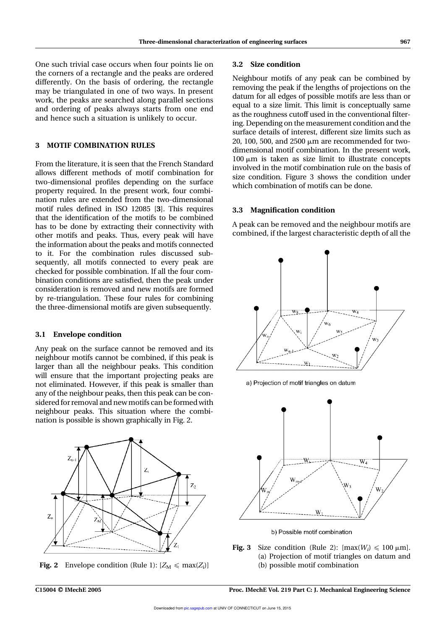One such trivial case occurs when four points lie on the corners of a rectangle and the peaks are ordered differently. On the basis of ordering, the rectangle may be triangulated in one of two ways. In present work, the peaks are searched along parallel sections and ordering of peaks always starts from one end and hence such a situation is unlikely to occur.

# 3 MOTIF COMBINATION RULES

From the literature, it is seen that the French Standard allows different methods of motif combination for two-dimensional profiles depending on the surface property required. In the present work, four combination rules are extended from the two-dimensional motif rules defined in ISO 12085 [3]. This requires that the identification of the motifs to be combined has to be done by extracting their connectivity with other motifs and peaks. Thus, every peak will have the information about the peaks and motifs connected to it. For the combination rules discussed subsequently, all motifs connected to every peak are checked for possible combination. If all the four combination conditions are satisfied, then the peak under consideration is removed and new motifs are formed by re-triangulation. These four rules for combining the three-dimensional motifs are given subsequently.

#### 3.1 Envelope condition

Any peak on the surface cannot be removed and its neighbour motifs cannot be combined, if this peak is larger than all the neighbour peaks. This condition will ensure that the important projecting peaks are not eliminated. However, if this peak is smaller than any of the neighbour peaks, then this peak can be considered for removal and newmotifs can be formed with neighbour peaks. This situation where the combination is possible is shown graphically in Fig. 2.



**Fig. 2** Envelope condition (Rule 1):  $[Z_M \leq \max(Z_i)]$ 

#### 3.2 Size condition

Neighbour motifs of any peak can be combined by removing the peak if the lengths of projections on the datum for all edges of possible motifs are less than or equal to a size limit. This limit is conceptually same as the roughness cutoff used in the conventional filtering. Depending on the measurement condition and the surface details of interest, different size limits such as 20, 100, 500, and 2500  $\mu$ m are recommended for twodimensional motif combination. In the present work,  $100 \mu m$  is taken as size limit to illustrate concepts involved in the motif combination rule on the basis of size condition. Figure 3 shows the condition under which combination of motifs can be done.

#### 3.3 Magnification condition

A peak can be removed and the neighbour motifs are combined, if the largest characteristic depth of all the



a) Projection of motif triangles on datum



b) Possible motif combination

**Fig. 3** Size condition (Rule 2):  $\text{[max}(W_i) \le 100 \,\mu\text{m}$ . (a) Projection of motif triangles on datum and (b) possible motif combination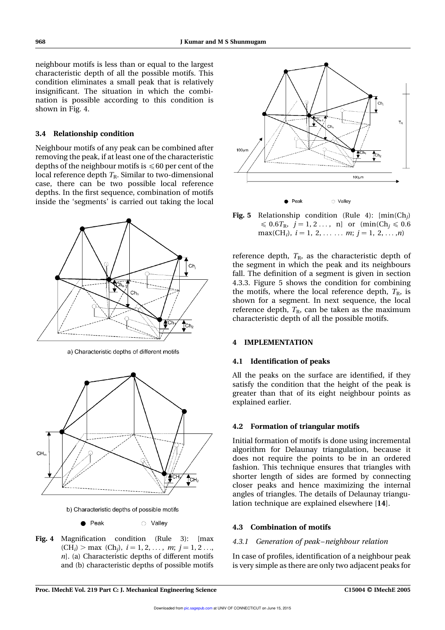neighbour motifs is less than or equal to the largest characteristic depth of all the possible motifs. This condition eliminates a small peak that is relatively insignificant. The situation in which the combination is possible according to this condition is shown in Fig. 4.

#### 3.4 Relationship condition

Neighbour motifs of any peak can be combined after removing the peak, if at least one of the characteristic depths of the neighbour motifs is  $\leq 60$  per cent of the local reference depth  $T_R$ . Similar to two-dimensional case, there can be two possible local reference depths. In the first sequence, combination of motifs inside the 'segments' is carried out taking the local



a) Characteristic depths of different motifs



b) Characteristic depths of possible motifs

Peak ○ Valley

Fig. 4 Magnification condition (Rule 3): [max  $(CH_i) > \max (Ch_j), i = 1, 2, ..., m; j = 1, 2 ...,$  $n$ ]. (a) Characteristic depths of different motifs and (b) characteristic depths of possible motifs



**Fig. 5** Relationship condition (Rule 4):  $[\min(Ch_j)]$  $\leq 0.6T_{\text{R}},$   $j = 1, 2...$ , n] or  $(\text{min}(Ch_i \leq 0.6$  $max(CH_i), i = 1, 2, \ldots, m; j = 1, 2, \ldots, n$ 

reference depth,  $T_{\text{R}}$ , as the characteristic depth of the segment in which the peak and its neighbours fall. The definition of a segment is given in section 4.3.3. Figure 5 shows the condition for combining the motifs, where the local reference depth,  $T_{\rm R}$ , is shown for a segment. In next sequence, the local reference depth,  $T_{\rm R}$ , can be taken as the maximum characteristic depth of all the possible motifs.

## 4 IMPLEMENTATION

#### 4.1 Identification of peaks

All the peaks on the surface are identified, if they satisfy the condition that the height of the peak is greater than that of its eight neighbour points as explained earlier.

#### 4.2 Formation of triangular motifs

Initial formation of motifs is done using incremental algorithm for Delaunay triangulation, because it does not require the points to be in an ordered fashion. This technique ensures that triangles with shorter length of sides are formed by connecting closer peaks and hence maximizing the internal angles of triangles. The details of Delaunay triangulation technique are explained elsewhere [14].

## 4.3 Combination of motifs

#### 4.3.1 Generation of peak –neighbour relation

In case of profiles, identification of a neighbour peak is very simple as there are only two adjacent peaks for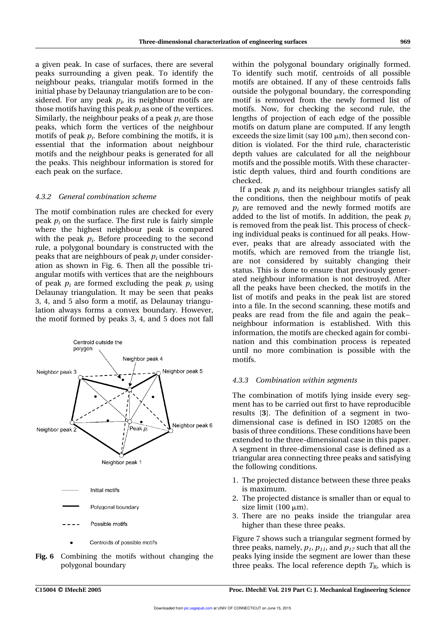a given peak. In case of surfaces, there are several peaks surrounding a given peak. To identify the neighbour peaks, triangular motifs formed in the initial phase by Delaunay triangulation are to be considered. For any peak  $p_i$ , its neighbour motifs are those motifs having this peak  $p_i$  as one of the vertices. Similarly, the neighbour peaks of a peak  $p_i$  are those peaks, which form the vertices of the neighbour motifs of peak  $p_i$ . Before combining the motifs, it is essential that the information about neighbour motifs and the neighbour peaks is generated for all the peaks. This neighbour information is stored for each peak on the surface.

#### 4.3.2 General combination scheme

The motif combination rules are checked for every peak  $p_i$  on the surface. The first rule is fairly simple where the highest neighbour peak is compared with the peak  $p_i$ . Before proceeding to the second rule, a polygonal boundary is constructed with the peaks that are neighbours of peak  $p_i$  under consideration as shown in Fig. 6. Then all the possible triangular motifs with vertices that are the neighbours of peak  $p_i$  are formed excluding the peak  $p_i$  using Delaunay triangulation. It may be seen that peaks 3, 4, and 5 also form a motif, as Delaunay triangulation always forms a convex boundary. However, the motif formed by peaks 3, 4, and 5 does not fall



Fig. 6 Combining the motifs without changing the polygonal boundary

within the polygonal boundary originally formed. To identify such motif, centroids of all possible motifs are obtained. If any of these centroids falls outside the polygonal boundary, the corresponding motif is removed from the newly formed list of motifs. Now, for checking the second rule, the lengths of projection of each edge of the possible motifs on datum plane are computed. If any length exceeds the size limit (say  $100 \mu m$ ), then second condition is violated. For the third rule, characteristic depth values are calculated for all the neighbour motifs and the possible motifs. With these characteristic depth values, third and fourth conditions are checked.

If a peak  $p_i$  and its neighbour triangles satisfy all the conditions, then the neighbour motifs of peak  $p_i$  are removed and the newly formed motifs are added to the list of motifs. In addition, the peak  $p_i$ is removed from the peak list. This process of checking individual peaks is continued for all peaks. However, peaks that are already associated with the motifs, which are removed from the triangle list, are not considered by suitably changing their status. This is done to ensure that previously generated neighbour information is not destroyed. After all the peaks have been checked, the motifs in the list of motifs and peaks in the peak list are stored into a file. In the second scanning, these motifs and peaks are read from the file and again the peak – neighbour information is established. With this information, the motifs are checked again for combination and this combination process is repeated until no more combination is possible with the motifs.

#### 4.3.3 Combination within segments

The combination of motifs lying inside every segment has to be carried out first to have reproducible results [3]. The definition of a segment in twodimensional case is defined in ISO 12085 on the basis of three conditions. These conditions have been extended to the three-dimensional case in this paper. A segment in three-dimensional case is defined as a triangular area connecting three peaks and satisfying the following conditions.

- 1. The projected distance between these three peaks is maximum.
- 2. The projected distance is smaller than or equal to size limit  $(100 \mu m)$ .
- 3. There are no peaks inside the triangular area higher than these three peaks.

Figure 7 shows such a triangular segment formed by three peaks, namely,  $p_1$ ,  $p_{11}$ , and  $p_{17}$  such that all the peaks lying inside the segment are lower than these three peaks. The local reference depth  $T_{\rm R}$ , which is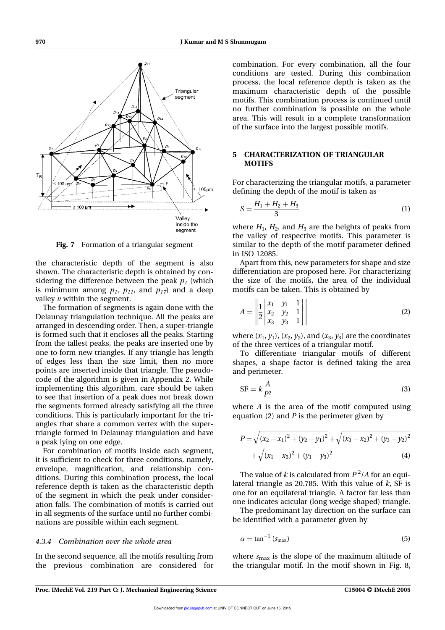

Fig. 7 Formation of a triangular segment

the characteristic depth of the segment is also shown. The characteristic depth is obtained by considering the difference between the peak  $p_{\textit{1}}$  (which is minimum among  $p_1$ ,  $p_{11}$ , and  $p_{17}$ ) and a deep valley  $\nu$  within the segment.

The formation of segments is again done with the Delaunay triangulation technique. All the peaks are arranged in descending order. Then, a super-triangle is formed such that it encloses all the peaks. Starting from the tallest peaks, the peaks are inserted one by one to form new triangles. If any triangle has length of edges less than the size limit, then no more points are inserted inside that triangle. The pseudocode of the algorithm is given in Appendix 2. While implementing this algorithm, care should be taken to see that insertion of a peak does not break down the segments formed already satisfying all the three conditions. This is particularly important for the triangles that share a common vertex with the supertriangle formed in Delaunay triangulation and have a peak lying on one edge.

For combination of motifs inside each segment, it is sufficient to check for three conditions, namely, envelope, magnification, and relationship conditions. During this combination process, the local reference depth is taken as the characteristic depth of the segment in which the peak under consideration falls. The combination of motifs is carried out in all segments of the surface until no further combinations are possible within each segment.

#### 4.3.4 Combination over the whole area

In the second sequence, all the motifs resulting from the previous combination are considered for

combination. For every combination, all the four conditions are tested. During this combination process, the local reference depth is taken as the maximum characteristic depth of the possible motifs. This combination process is continued until no further combination is possible on the whole area. This will result in a complete transformation of the surface into the largest possible motifs.

# 5 CHARACTERIZATION OF TRIANGULAR **MOTIFS**

For characterizing the triangular motifs, a parameter defining the depth of the motif is taken as

$$
S = \frac{H_1 + H_2 + H_3}{3} \tag{1}
$$

where  $H_1$ ,  $H_2$ , and  $H_3$  are the heights of peaks from the valley of respective motifs. This parameter is similar to the depth of the motif parameter defined in ISO 12085.

Apart from this, new parameters for shape and size differentiation are proposed here. For characterizing the size of the motifs, the area of the individual motifs can be taken. This is obtained by

$$
A = \begin{bmatrix} 1 & x_1 & y_1 & 1 \\ 2 & x_2 & y_2 & 1 \\ x_3 & y_3 & 1 \end{bmatrix} \tag{2}
$$

where  $(x_1, y_1)$ ,  $(x_2, y_2)$ , and  $(x_3, y_3)$  are the coordinates of the three vertices of a triangular motif.

To differentiate triangular motifs of different shapes, a shape factor is defined taking the area and perimeter.

$$
SF = k \frac{A}{P^2}
$$
 (3)

where A is the area of the motif computed using equation (2) and  $P$  is the perimeter given by

$$
P = \sqrt{(x_2 - x_1)^2 + (y_2 - y_1)^2} + \sqrt{(x_3 - x_2)^2 + (y_3 - y_2)^2}
$$
  
+  $\sqrt{(x_1 - x_3)^2 + (y_1 - y_3)^2}$  (4)

The value of  $k$  is calculated from  $P^2/A$  for an equilateral triangle as 20.785. With this value of  $k$ , SF is one for an equilateral triangle. A factor far less than one indicates acicular (long wedge shaped) triangle.

The predominant lay direction on the surface can be identified with a parameter given by

$$
\alpha = \tan^{-1} \left( s_{\text{max}} \right) \tag{5}
$$

where  $s_{\text{max}}$  is the slope of the maximum altitude of the triangular motif. In the motif shown in Fig. 8,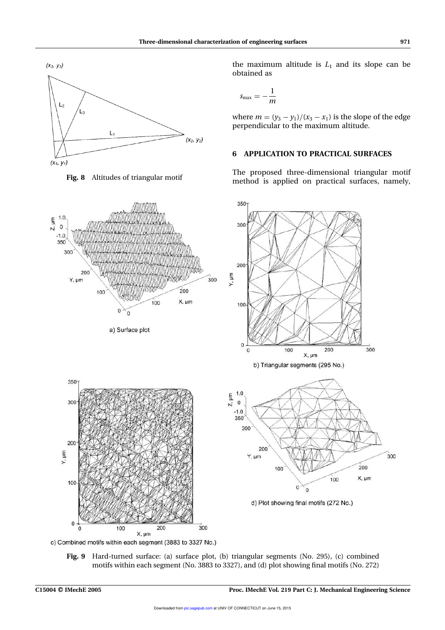



 $1.0$ 

 $Z$ ,  $\mu$ m  $\mathsf{O}$  $-1.0$ 350 300 200 Y, µm Y, um 300  $200$ 100 X, um 100  $\Omega$  $\Omega$ a) Surface plot 350- $Z$ ,  $\mu$ m 300

X, µm c) Combined motifs within each segment (3883 to 3327 No.)

the maximum altitude is  $L_1$  and its slope can be obtained as

$$
s_{\max}=-\frac{1}{m}
$$

where  $m = (y_3 - y_1)/(x_3 - x_1)$  is the slope of the edge perpendicular to the maximum altitude.

# 6 APPLICATION TO PRACTICAL SURFACES

The proposed three-dimensional triangular motif Fig. 8 Altitudes of triangular motif method is applied on practical surfaces, namely,



Fig. 9 Hard-turned surface: (a) surface plot, (b) triangular segments (No. 295), (c) combined motifs within each segment (No. 3883 to 3327), and (d) plot showing final motifs (No. 272)

200

100

 $\bf{0}$ 

Y, µm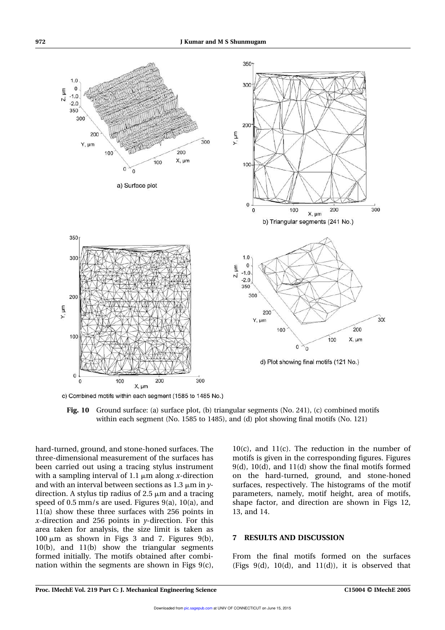

c) Combined motifs within each segment (1585 to 1485 No.)



hard-turned, ground, and stone-honed surfaces. The three-dimensional measurement of the surfaces has been carried out using a tracing stylus instrument with a sampling interval of 1.1  $\mu$ m along x-direction and with an interval between sections as 1.3  $\mu$ m in ydirection. A stylus tip radius of  $2.5 \mu m$  and a tracing speed of 0.5 mm/s are used. Figures 9(a), 10(a), and 11(a) show these three surfaces with 256 points in x-direction and 256 points in  $\nu$ -direction. For this area taken for analysis, the size limit is taken as  $100 \mu m$  as shown in Figs 3 and 7. Figures 9(b), 10(b), and 11(b) show the triangular segments formed initially. The motifs obtained after combination within the segments are shown in Figs 9(c),

10(c), and 11(c). The reduction in the number of motifs is given in the corresponding figures. Figures 9(d), 10(d), and 11(d) show the final motifs formed on the hard-turned, ground, and stone-honed surfaces, respectively. The histograms of the motif parameters, namely, motif height, area of motifs, shape factor, and direction are shown in Figs 12, 13, and 14.

# 7 RESULTS AND DISCUSSION

From the final motifs formed on the surfaces (Figs  $9(d)$ ,  $10(d)$ , and  $11(d)$ ), it is observed that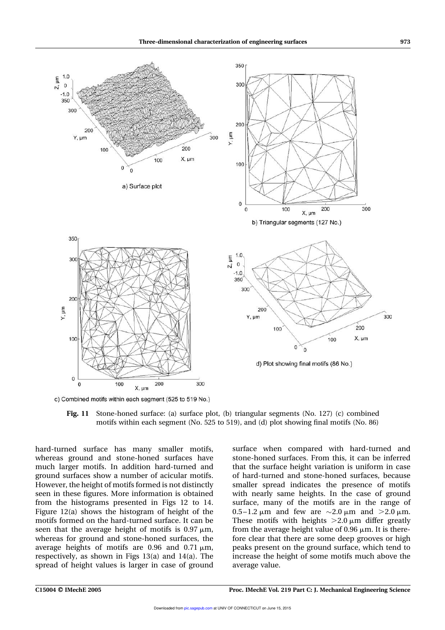

c) Combined motifs within each segment (525 to 519 No.)

Fig. 11 Stone-honed surface: (a) surface plot, (b) triangular segments (No. 127) (c) combined motifs within each segment (No. 525 to 519), and (d) plot showing final motifs (No. 86)

hard-turned surface has many smaller motifs, whereas ground and stone-honed surfaces have much larger motifs. In addition hard-turned and ground surfaces show a number of acicular motifs. However, the height of motifs formed is not distinctly seen in these figures. More information is obtained from the histograms presented in Figs 12 to 14. Figure 12(a) shows the histogram of height of the motifs formed on the hard-turned surface. It can be seen that the average height of motifs is  $0.97 \text{ µm}$ , whereas for ground and stone-honed surfaces, the average heights of motifs are 0.96 and 0.71  $\mu$ m, respectively, as shown in Figs 13(a) and 14(a). The spread of height values is larger in case of ground

surface when compared with hard-turned and stone-honed surfaces. From this, it can be inferred that the surface height variation is uniform in case of hard-turned and stone-honed surfaces, because smaller spread indicates the presence of motifs with nearly same heights. In the case of ground surface, many of the motifs are in the range of 0.5-1.2  $\mu$ m and few are  $\sim$ 2.0  $\mu$ m and  $>$ 2.0  $\mu$ m. These motifs with heights  $>2.0 \mu m$  differ greatly from the average height value of  $0.96 \mu m$ . It is therefore clear that there are some deep grooves or high peaks present on the ground surface, which tend to increase the height of some motifs much above the average value.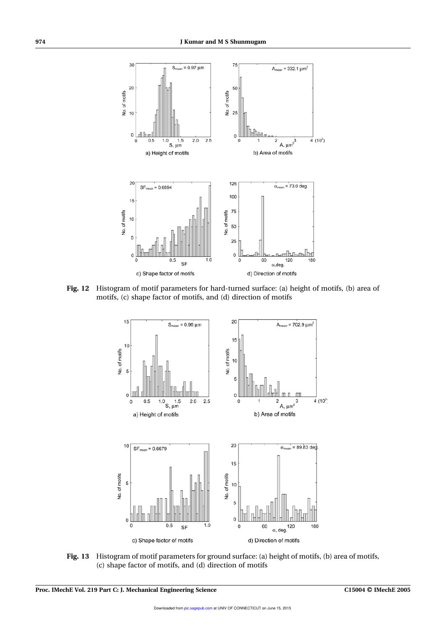

Fig. 12 Histogram of motif parameters for hard-turned surface: (a) height of motifs, (b) area of motifs, (c) shape factor of motifs, and (d) direction of motifs



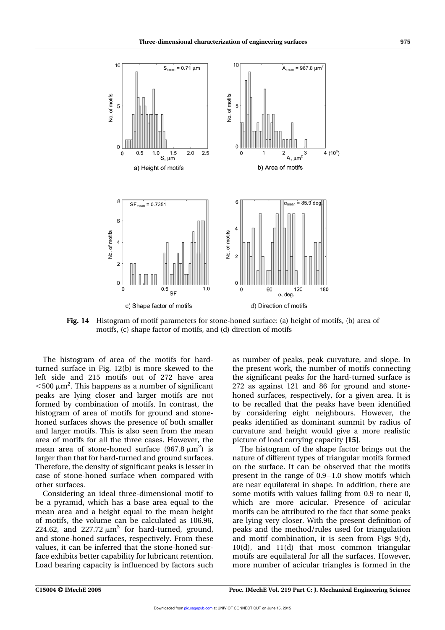

Fig. 14 Histogram of motif parameters for stone-honed surface: (a) height of motifs, (b) area of motifs, (c) shape factor of motifs, and (d) direction of motifs

The histogram of area of the motifs for hardturned surface in Fig. 12(b) is more skewed to the left side and 215 motifs out of 272 have area  $<$  500  $\mu$ m<sup>2</sup>. This happens as a number of significant peaks are lying closer and larger motifs are not formed by combination of motifs. In contrast, the histogram of area of motifs for ground and stonehoned surfaces shows the presence of both smaller and larger motifs. This is also seen from the mean area of motifs for all the three cases. However, the mean area of stone-honed surface  $(967.8 \,\mathrm{\upmu m^2})$  is larger than that for hard-turned and ground surfaces. Therefore, the density of significant peaks is lesser in case of stone-honed surface when compared with other surfaces.

Considering an ideal three-dimensional motif to be a pyramid, which has a base area equal to the mean area and a height equal to the mean height of motifs, the volume can be calculated as 106.96, 224.62, and  $227.72 \mu m^3$  for hard-turned, ground, and stone-honed surfaces, respectively. From these values, it can be inferred that the stone-honed surface exhibits better capability for lubricant retention. Load bearing capacity is influenced by factors such

as number of peaks, peak curvature, and slope. In the present work, the number of motifs connecting the significant peaks for the hard-turned surface is 272 as against 121 and 86 for ground and stonehoned surfaces, respectively, for a given area. It is to be recalled that the peaks have been identified by considering eight neighbours. However, the peaks identified as dominant summit by radius of curvature and height would give a more realistic picture of load carrying capacity [15].

The histogram of the shape factor brings out the nature of different types of triangular motifs formed on the surface. It can be observed that the motifs present in the range of 0.9 –1.0 show motifs which are near equilateral in shape. In addition, there are some motifs with values falling from 0.9 to near 0, which are more acicular. Presence of acicular motifs can be attributed to the fact that some peaks are lying very closer. With the present definition of peaks and the method/rules used for triangulation and motif combination, it is seen from Figs 9(d), 10(d), and 11(d) that most common triangular motifs are equilateral for all the surfaces. However, more number of acicular triangles is formed in the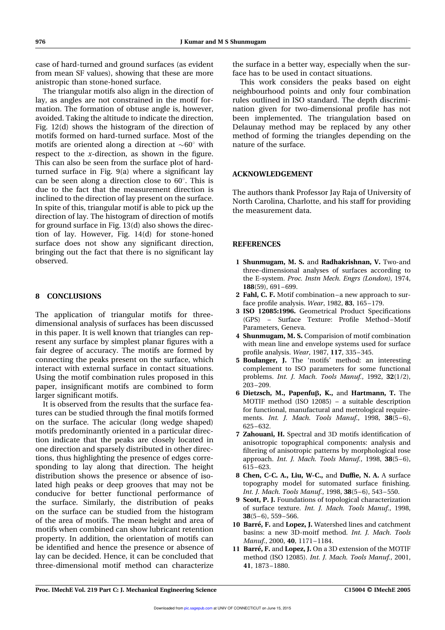case of hard-turned and ground surfaces (as evident from mean SF values), showing that these are more anistropic than stone-honed surface.

The triangular motifs also align in the direction of lay, as angles are not constrained in the motif formation. The formation of obtuse angle is, however, avoided. Taking the altitude to indicate the direction, Fig. 12(d) shows the histogram of the direction of motifs formed on hard-turned surface. Most of the motifs are oriented along a direction at  $\sim 60^{\circ}$  with respect to the x-direction, as shown in the figure. This can also be seen from the surface plot of hardturned surface in Fig. 9(a) where a significant lay can be seen along a direction close to  $60^\circ$ . This is due to the fact that the measurement direction is inclined to the direction of lay present on the surface. In spite of this, triangular motif is able to pick up the direction of lay. The histogram of direction of motifs for ground surface in Fig. 13(d) also shows the direction of lay. However, Fig. 14(d) for stone-honed surface does not show any significant direction, bringing out the fact that there is no significant lay observed.

## 8 CONCLUSIONS

The application of triangular motifs for threedimensional analysis of surfaces has been discussed in this paper. It is well known that triangles can represent any surface by simplest planar figures with a fair degree of accuracy. The motifs are formed by connecting the peaks present on the surface, which interact with external surface in contact situations. Using the motif combination rules proposed in this paper, insignificant motifs are combined to form larger significant motifs.

It is observed from the results that the surface features can be studied through the final motifs formed on the surface. The acicular (long wedge shaped) motifs predominantly oriented in a particular direction indicate that the peaks are closely located in one direction and sparsely distributed in other directions, thus highlighting the presence of edges corresponding to lay along that direction. The height distribution shows the presence or absence of isolated high peaks or deep grooves that may not be conducive for better functional performance of the surface. Similarly, the distribution of peaks on the surface can be studied from the histogram of the area of motifs. The mean height and area of motifs when combined can show lubricant retention property. In addition, the orientation of motifs can be identified and hence the presence or absence of lay can be decided. Hence, it can be concluded that three-dimensional motif method can characterize the surface in a better way, especially when the surface has to be used in contact situations.

This work considers the peaks based on eight neighbourhood points and only four combination rules outlined in ISO standard. The depth discrimination given for two-dimensional profile has not been implemented. The triangulation based on Delaunay method may be replaced by any other method of forming the triangles depending on the nature of the surface.

## ACKNOWLEDGEMENT

The authors thank Professor Jay Raja of University of North Carolina, Charlotte, and his staff for providing the measurement data.

## **REFERENCES**

- 1 Shunmugam, M. S. and Radhakrishnan, V. Two-and three-dimensional analyses of surfaces according to the E-system. Proc. Instn Mech. Engrs (London), 1974, 188(59), 691–699.
- 2 Fahl, C. F. Motif combination-a new approach to surface profile analysis. Wear, 1982, 83, 165 –179.
- 3 ISO 12085:1996. Geometrical Product Specifications (GPS) – Surface Texture: Profile Method –Motif Parameters, Geneva.
- 4 Shunmugam, M. S. Comparision of motif combination with mean line and envelope systems used for surface profile analysis. Wear, 1987, 117, 335-345.
- 5 Boulanger, J. The 'motifs' method: an interesting complement to ISO parameters for some functional problems. Int. J. Mach. Tools Manuf., 1992, 32(1/2), 203 –209.
- 6 Dietzsch, M., Papenfub, K., and Hartmann, T. The MOTIF method (ISO 12085) – a suitable description for functional, manufactural and metrological requirements. *Int. J. Mach. Tools Manuf.*, 1998, 38(5-6), 625 –632.
- 7 Zahouani, H. Spectral and 3D motifs identification of anisotropic topographical components: analysis and filtering of anisotropic patterns by morphological rose approach. Int. J. Mach. Tools Manuf., 1998,  $38(5-6)$ , 615 –623.
- 8 Chen, C-C. A., Liu, W-C., and Duffie, N. A. A surface topography model for sutomated surface finishing. Int. J. Mach. Tools Manuf., 1998, 38(5-6), 543-550.
- 9 Scott, P. J. Foundations of topological characterization of surface texture. Int. J. Mach. Tools Manuf., 1998,  $38(5 - 6)$ , 559 – 566.
- 10 Barré, F. and Lopez, J. Watershed lines and catchment basins: a new 3D-moitf method. Int. J. Mach. Tools Manuf., 2000, 40, 1171–1184.
- 11 Barré, F. and Lopez, J. On a 3D extension of the MOTIF method (ISO 12085). Int. J. Mach. Tools Manuf., 2001, 41, 1873 –1880.